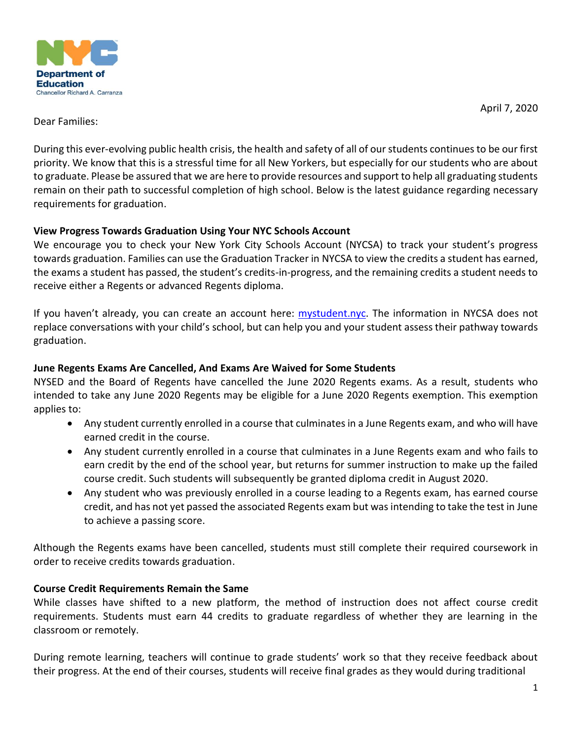

April 7, 2020

### Dear Families:

During this ever-evolving public health crisis, the health and safety of all of our students continues to be our first priority. We know that this is a stressful time for all New Yorkers, but especially for our students who are about to graduate. Please be assured that we are here to provide resources and support to help all graduating students remain on their path to successful completion of high school. Below is the latest guidance regarding necessary requirements for graduation.

### **View Progress Towards Graduation Using Your NYC Schools Account**

We encourage you to check your New York City Schools Account (NYCSA) to track your student's progress towards graduation. Families can use the Graduation Tracker in NYCSA to view the credits a student has earned, the exams a student has passed, the student's credits-in-progress, and the remaining credits a student needs to receive either a Regents or advanced Regents diploma.

If you haven't already, you can create an account here: [mystudent.nyc.](https://mystudent.nyc/) The information in NYCSA does not replace conversations with your child's school, but can help you and your student assess their pathway towards graduation.

## **June Regents Exams Are Cancelled, And Exams Are Waived for Some Students**

NYSED and the Board of Regents have cancelled the June 2020 Regents exams. As a result, students who intended to take any June 2020 Regents may be eligible for a June 2020 Regents exemption. This exemption applies to:

- Any student currently enrolled in a course that culminates in a June Regents exam, and who will have earned credit in the course.
- Any student currently enrolled in a course that culminates in a June Regents exam and who fails to earn credit by the end of the school year, but returns for summer instruction to make up the failed course credit. Such students will subsequently be granted diploma credit in August 2020.
- Any student who was previously enrolled in a course leading to a Regents exam, has earned course credit, and has not yet passed the associated Regents exam but was intending to take the test in June to achieve a passing score.

Although the Regents exams have been cancelled, students must still complete their required coursework in order to receive credits towards graduation.

# **Course Credit Requirements Remain the Same**

While classes have shifted to a new platform, the method of instruction does not affect course credit requirements. Students must earn 44 credits to graduate regardless of whether they are learning in the classroom or remotely.

During remote learning, teachers will continue to grade students' work so that they receive feedback about their progress. At the end of their courses, students will receive final grades as they would during traditional